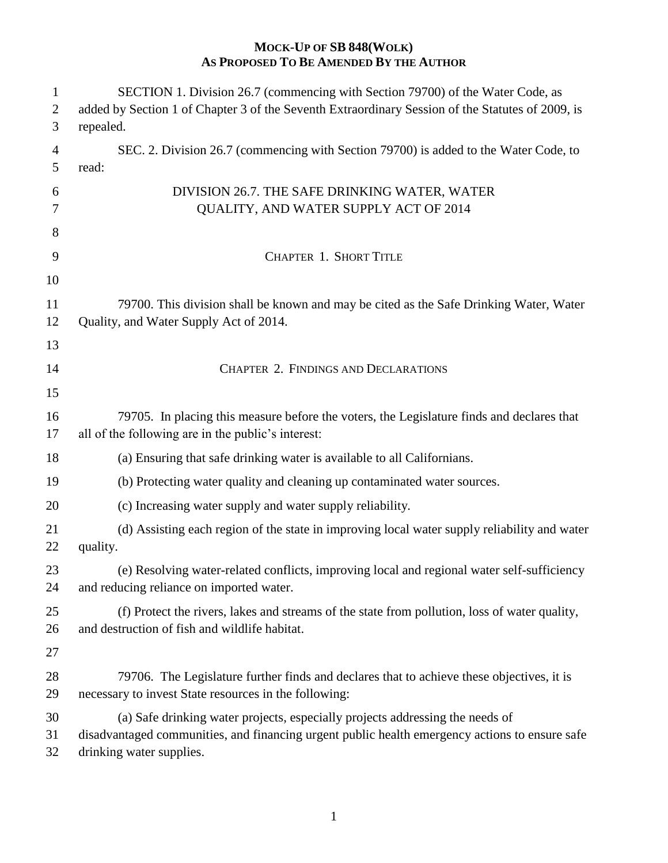| SECTION 1. Division 26.7 (commencing with Section 79700) of the Water Code, as                                                                                                                              |
|-------------------------------------------------------------------------------------------------------------------------------------------------------------------------------------------------------------|
| added by Section 1 of Chapter 3 of the Seventh Extraordinary Session of the Statutes of 2009, is<br>repealed.                                                                                               |
| SEC. 2. Division 26.7 (commencing with Section 79700) is added to the Water Code, to<br>read:                                                                                                               |
| DIVISION 26.7. THE SAFE DRINKING WATER, WATER<br>QUALITY, AND WATER SUPPLY ACT OF 2014                                                                                                                      |
| <b>CHAPTER 1. SHORT TITLE</b>                                                                                                                                                                               |
|                                                                                                                                                                                                             |
| 79700. This division shall be known and may be cited as the Safe Drinking Water, Water<br>Quality, and Water Supply Act of 2014.                                                                            |
| <b>CHAPTER 2. FINDINGS AND DECLARATIONS</b>                                                                                                                                                                 |
| 79705. In placing this measure before the voters, the Legislature finds and declares that<br>all of the following are in the public's interest:                                                             |
| (a) Ensuring that safe drinking water is available to all Californians.                                                                                                                                     |
| (b) Protecting water quality and cleaning up contaminated water sources.                                                                                                                                    |
| (c) Increasing water supply and water supply reliability.                                                                                                                                                   |
| (d) Assisting each region of the state in improving local water supply reliability and water<br>quality.                                                                                                    |
| (e) Resolving water-related conflicts, improving local and regional water self-sufficiency<br>and reducing reliance on imported water.                                                                      |
| (f) Protect the rivers, lakes and streams of the state from pollution, loss of water quality,<br>and destruction of fish and wildlife habitat.                                                              |
|                                                                                                                                                                                                             |
| 79706. The Legislature further finds and declares that to achieve these objectives, it is<br>necessary to invest State resources in the following:                                                          |
| (a) Safe drinking water projects, especially projects addressing the needs of<br>disadvantaged communities, and financing urgent public health emergency actions to ensure safe<br>drinking water supplies. |
|                                                                                                                                                                                                             |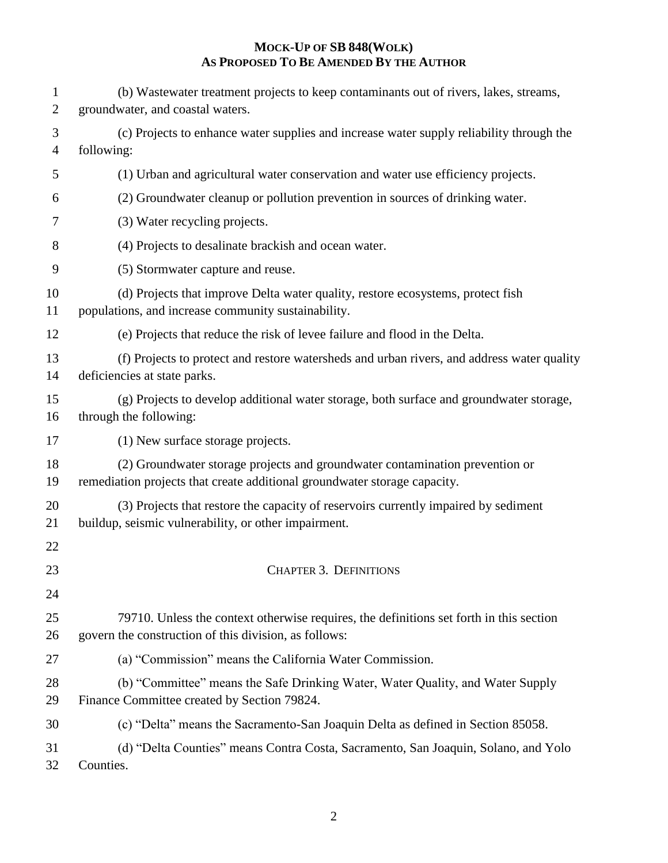| 1<br>$\mathbf{2}$   | (b) Wastewater treatment projects to keep contaminants out of rivers, lakes, streams,<br>groundwater, and coastal waters.                                 |
|---------------------|-----------------------------------------------------------------------------------------------------------------------------------------------------------|
| 3<br>$\overline{4}$ | (c) Projects to enhance water supplies and increase water supply reliability through the<br>following:                                                    |
| 5                   | (1) Urban and agricultural water conservation and water use efficiency projects.                                                                          |
| 6                   | (2) Groundwater cleanup or pollution prevention in sources of drinking water.                                                                             |
| 7                   | (3) Water recycling projects.                                                                                                                             |
| 8                   | (4) Projects to desalinate brackish and ocean water.                                                                                                      |
| 9                   | (5) Stormwater capture and reuse.                                                                                                                         |
| 10<br>11            | (d) Projects that improve Delta water quality, restore ecosystems, protect fish<br>populations, and increase community sustainability.                    |
| 12                  | (e) Projects that reduce the risk of levee failure and flood in the Delta.                                                                                |
| 13<br>14            | (f) Projects to protect and restore watersheds and urban rivers, and address water quality<br>deficiencies at state parks.                                |
| 15<br>16            | (g) Projects to develop additional water storage, both surface and groundwater storage,<br>through the following:                                         |
| 17                  | (1) New surface storage projects.                                                                                                                         |
| 18<br>19            | (2) Groundwater storage projects and groundwater contamination prevention or<br>remediation projects that create additional groundwater storage capacity. |
| 20<br>21            | (3) Projects that restore the capacity of reservoirs currently impaired by sediment<br>buildup, seismic vulnerability, or other impairment.               |
| 22                  |                                                                                                                                                           |
| 23                  | <b>CHAPTER 3. DEFINITIONS</b>                                                                                                                             |
| 24<br>25<br>26      | 79710. Unless the context otherwise requires, the definitions set forth in this section<br>govern the construction of this division, as follows:          |
| 27                  | (a) "Commission" means the California Water Commission.                                                                                                   |
| 28<br>29            | (b) "Committee" means the Safe Drinking Water, Water Quality, and Water Supply<br>Finance Committee created by Section 79824.                             |
| 30                  | (c) "Delta" means the Sacramento-San Joaquin Delta as defined in Section 85058.                                                                           |
| 31<br>32            | (d) "Delta Counties" means Contra Costa, Sacramento, San Joaquin, Solano, and Yolo<br>Counties.                                                           |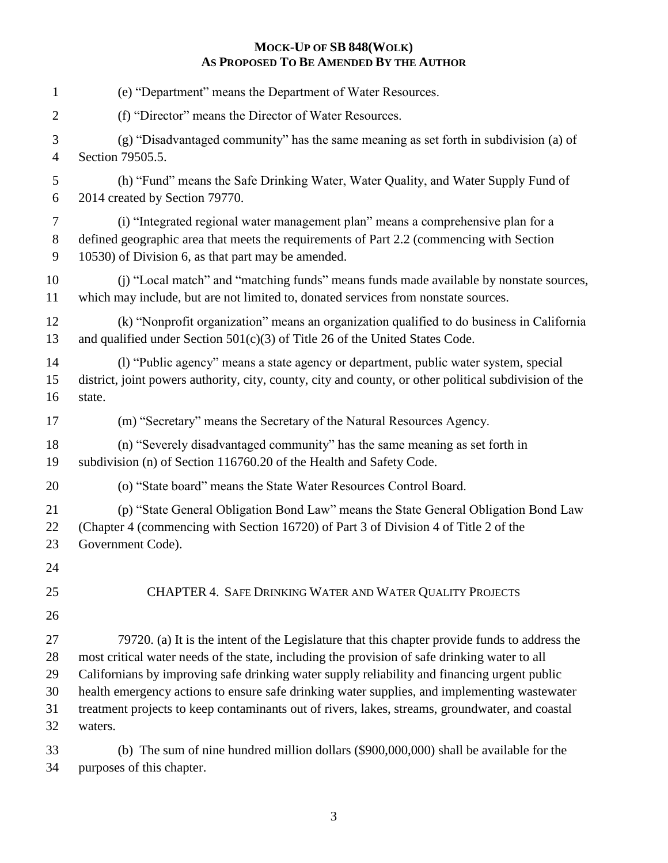| $\mathbf{1}$ | (e) "Department" means the Department of Water Resources.                                              |
|--------------|--------------------------------------------------------------------------------------------------------|
| 2            | (f) "Director" means the Director of Water Resources.                                                  |
| 3            | (g) "Disadvantaged community" has the same meaning as set forth in subdivision (a) of                  |
| 4            | Section 79505.5.                                                                                       |
| 5            | (h) "Fund" means the Safe Drinking Water, Water Quality, and Water Supply Fund of                      |
| 6            | 2014 created by Section 79770.                                                                         |
| 7            | (i) "Integrated regional water management plan" means a comprehensive plan for a                       |
| 8            | defined geographic area that meets the requirements of Part 2.2 (commencing with Section               |
| 9            | 10530) of Division 6, as that part may be amended.                                                     |
| 10           | (j) "Local match" and "matching funds" means funds made available by nonstate sources,                 |
| 11           | which may include, but are not limited to, donated services from nonstate sources.                     |
| 12           | (k) "Nonprofit organization" means an organization qualified to do business in California              |
| 13           | and qualified under Section 501(c)(3) of Title 26 of the United States Code.                           |
| 14           | (1) "Public agency" means a state agency or department, public water system, special                   |
| 15           | district, joint powers authority, city, county, city and county, or other political subdivision of the |
| 16           | state.                                                                                                 |
| 17           | (m) "Secretary" means the Secretary of the Natural Resources Agency.                                   |
| 18           | (n) "Severely disadvantaged community" has the same meaning as set forth in                            |
| 19           | subdivision (n) of Section 116760.20 of the Health and Safety Code.                                    |
| 20           | (o) "State board" means the State Water Resources Control Board.                                       |
| 21           | (p) "State General Obligation Bond Law" means the State General Obligation Bond Law                    |
| 22           | (Chapter 4 (commencing with Section 16720) of Part 3 of Division 4 of Title 2 of the                   |
| 23           | Government Code).                                                                                      |
| 24           |                                                                                                        |
| 25<br>26     | <b>CHAPTER 4. SAFE DRINKING WATER AND WATER QUALITY PROJECTS</b>                                       |
| 27           | 79720. (a) It is the intent of the Legislature that this chapter provide funds to address the          |
| 28           | most critical water needs of the state, including the provision of safe drinking water to all          |
| 29           | Californians by improving safe drinking water supply reliability and financing urgent public           |
| 30           | health emergency actions to ensure safe drinking water supplies, and implementing wastewater           |
| 31           | treatment projects to keep contaminants out of rivers, lakes, streams, groundwater, and coastal        |
| 32           | waters.                                                                                                |
|              |                                                                                                        |

 (b) The sum of nine hundred million dollars (\$900,000,000) shall be available for the purposes of this chapter.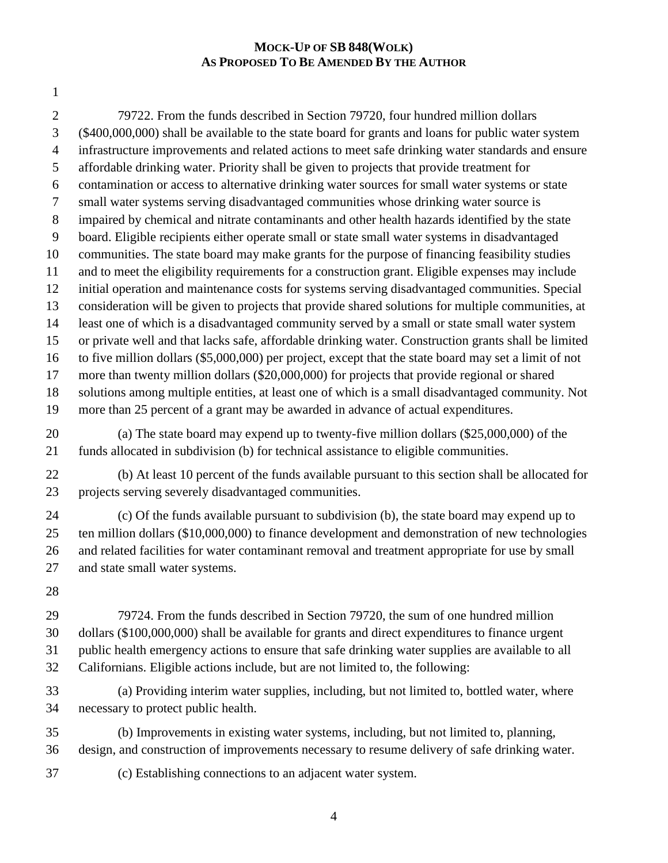79722. From the funds described in Section 79720, four hundred million dollars (\$400,000,000) shall be available to the state board for grants and loans for public water system infrastructure improvements and related actions to meet safe drinking water standards and ensure affordable drinking water. Priority shall be given to projects that provide treatment for contamination or access to alternative drinking water sources for small water systems or state small water systems serving disadvantaged communities whose drinking water source is impaired by chemical and nitrate contaminants and other health hazards identified by the state board. Eligible recipients either operate small or state small water systems in disadvantaged communities. The state board may make grants for the purpose of financing feasibility studies and to meet the eligibility requirements for a construction grant. Eligible expenses may include initial operation and maintenance costs for systems serving disadvantaged communities. Special consideration will be given to projects that provide shared solutions for multiple communities, at least one of which is a disadvantaged community served by a small or state small water system or private well and that lacks safe, affordable drinking water. Construction grants shall be limited to five million dollars (\$5,000,000) per project, except that the state board may set a limit of not more than twenty million dollars (\$20,000,000) for projects that provide regional or shared solutions among multiple entities, at least one of which is a small disadvantaged community. Not more than 25 percent of a grant may be awarded in advance of actual expenditures. (a) The state board may expend up to twenty-five million dollars (\$25,000,000) of the funds allocated in subdivision (b) for technical assistance to eligible communities. (b) At least 10 percent of the funds available pursuant to this section shall be allocated for projects serving severely disadvantaged communities. (c) Of the funds available pursuant to subdivision (b), the state board may expend up to ten million dollars (\$10,000,000) to finance development and demonstration of new technologies and related facilities for water contaminant removal and treatment appropriate for use by small and state small water systems. 79724. From the funds described in Section 79720, the sum of one hundred million dollars (\$100,000,000) shall be available for grants and direct expenditures to finance urgent public health emergency actions to ensure that safe drinking water supplies are available to all Californians. Eligible actions include, but are not limited to, the following: (a) Providing interim water supplies, including, but not limited to, bottled water, where necessary to protect public health. (b) Improvements in existing water systems, including, but not limited to, planning, design, and construction of improvements necessary to resume delivery of safe drinking water. (c) Establishing connections to an adjacent water system.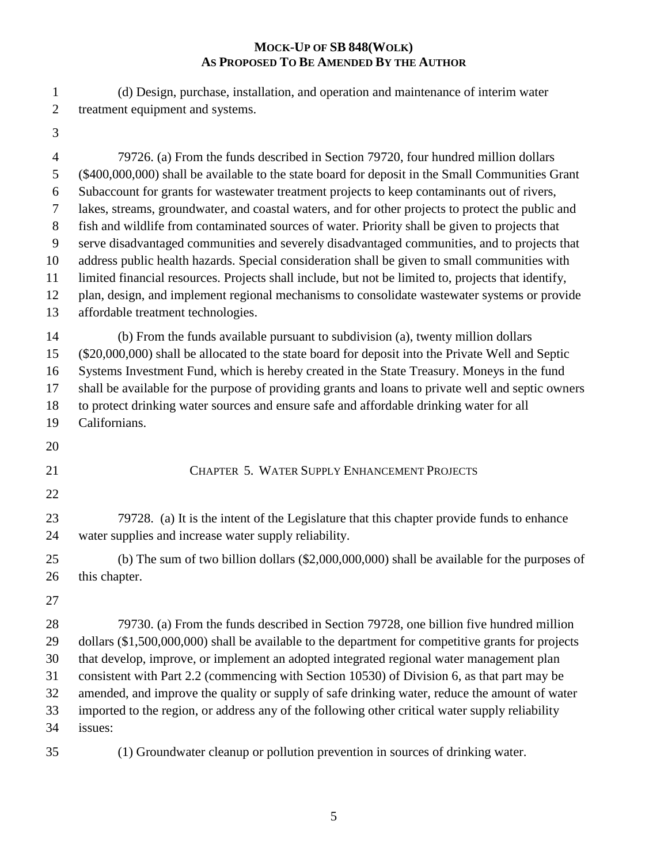(d) Design, purchase, installation, and operation and maintenance of interim water treatment equipment and systems.

 79726. (a) From the funds described in Section 79720, four hundred million dollars (\$400,000,000) shall be available to the state board for deposit in the Small Communities Grant Subaccount for grants for wastewater treatment projects to keep contaminants out of rivers, lakes, streams, groundwater, and coastal waters, and for other projects to protect the public and fish and wildlife from contaminated sources of water. Priority shall be given to projects that serve disadvantaged communities and severely disadvantaged communities, and to projects that address public health hazards. Special consideration shall be given to small communities with limited financial resources. Projects shall include, but not be limited to, projects that identify, plan, design, and implement regional mechanisms to consolidate wastewater systems or provide affordable treatment technologies. (b) From the funds available pursuant to subdivision (a), twenty million dollars (\$20,000,000) shall be allocated to the state board for deposit into the Private Well and Septic Systems Investment Fund, which is hereby created in the State Treasury. Moneys in the fund shall be available for the purpose of providing grants and loans to private well and septic owners to protect drinking water sources and ensure safe and affordable drinking water for all Californians. CHAPTER 5. WATER SUPPLY ENHANCEMENT PROJECTS 79728. (a) It is the intent of the Legislature that this chapter provide funds to enhance water supplies and increase water supply reliability. (b) The sum of two billion dollars (\$2,000,000,000) shall be available for the purposes of 26 this chapter. 79730. (a) From the funds described in Section 79728, one billion five hundred million dollars (\$1,500,000,000) shall be available to the department for competitive grants for projects that develop, improve, or implement an adopted integrated regional water management plan consistent with Part 2.2 (commencing with Section 10530) of Division 6, as that part may be amended, and improve the quality or supply of safe drinking water, reduce the amount of water imported to the region, or address any of the following other critical water supply reliability issues:

(1) Groundwater cleanup or pollution prevention in sources of drinking water.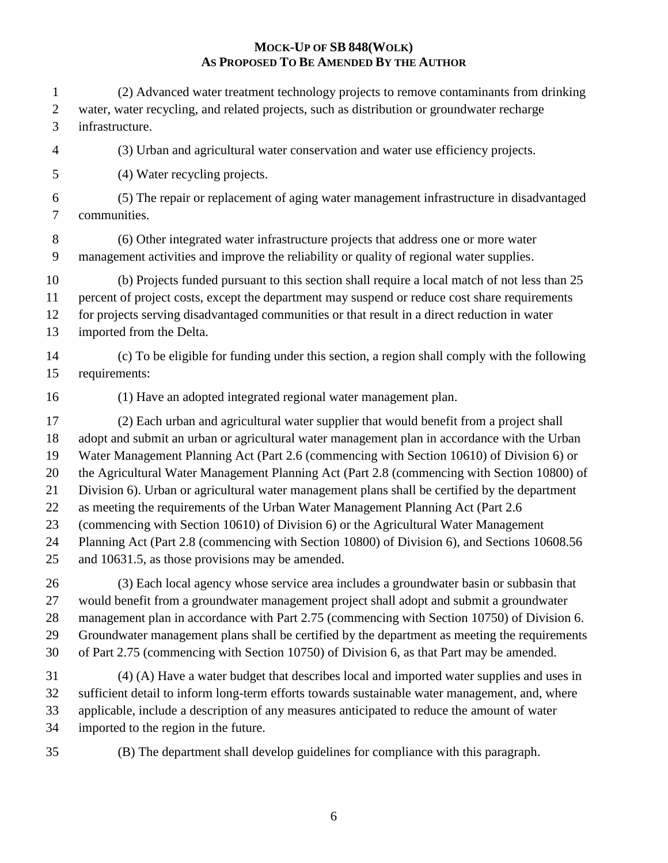(2) Advanced water treatment technology projects to remove contaminants from drinking water, water recycling, and related projects, such as distribution or groundwater recharge infrastructure. (3) Urban and agricultural water conservation and water use efficiency projects. (4) Water recycling projects. (5) The repair or replacement of aging water management infrastructure in disadvantaged communities. (6) Other integrated water infrastructure projects that address one or more water management activities and improve the reliability or quality of regional water supplies. (b) Projects funded pursuant to this section shall require a local match of not less than 25 percent of project costs, except the department may suspend or reduce cost share requirements for projects serving disadvantaged communities or that result in a direct reduction in water imported from the Delta. (c) To be eligible for funding under this section, a region shall comply with the following requirements: (1) Have an adopted integrated regional water management plan. (2) Each urban and agricultural water supplier that would benefit from a project shall adopt and submit an urban or agricultural water management plan in accordance with the Urban Water Management Planning Act (Part 2.6 (commencing with Section 10610) of Division 6) or the Agricultural Water Management Planning Act (Part 2.8 (commencing with Section 10800) of Division 6). Urban or agricultural water management plans shall be certified by the department as meeting the requirements of the Urban Water Management Planning Act (Part 2.6 (commencing with Section 10610) of Division 6) or the Agricultural Water Management Planning Act (Part 2.8 (commencing with Section 10800) of Division 6), and Sections 10608.56 and 10631.5, as those provisions may be amended. (3) Each local agency whose service area includes a groundwater basin or subbasin that would benefit from a groundwater management project shall adopt and submit a groundwater management plan in accordance with Part 2.75 (commencing with Section 10750) of Division 6. Groundwater management plans shall be certified by the department as meeting the requirements of Part 2.75 (commencing with Section 10750) of Division 6, as that Part may be amended. (4) (A) Have a water budget that describes local and imported water supplies and uses in sufficient detail to inform long-term efforts towards sustainable water management, and, where applicable, include a description of any measures anticipated to reduce the amount of water imported to the region in the future.

(B) The department shall develop guidelines for compliance with this paragraph.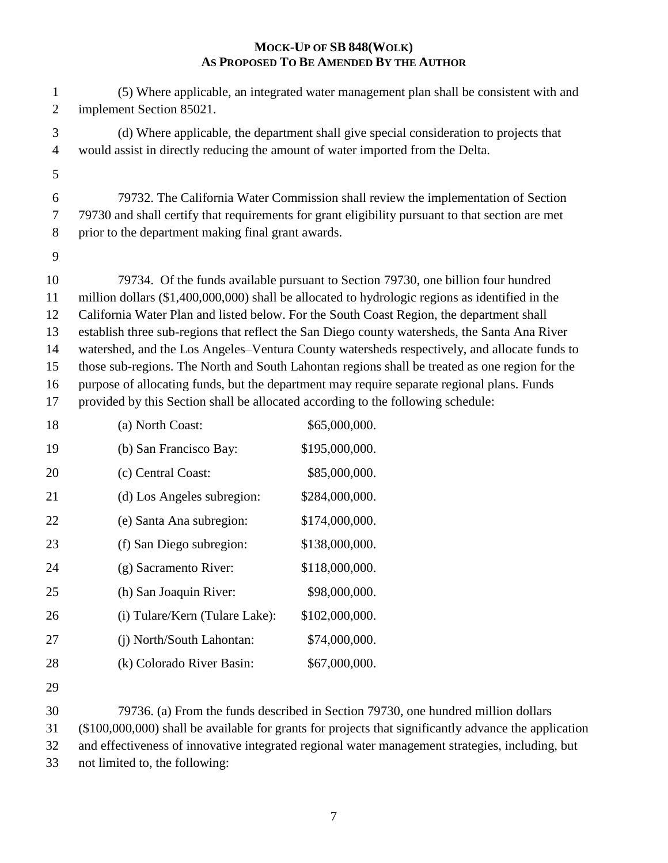(5) Where applicable, an integrated water management plan shall be consistent with and implement Section 85021.

 (d) Where applicable, the department shall give special consideration to projects that would assist in directly reducing the amount of water imported from the Delta.

 79732. The California Water Commission shall review the implementation of Section 79730 and shall certify that requirements for grant eligibility pursuant to that section are met prior to the department making final grant awards.

 79734. Of the funds available pursuant to Section 79730, one billion four hundred million dollars (\$1,400,000,000) shall be allocated to hydrologic regions as identified in the California Water Plan and listed below. For the South Coast Region, the department shall establish three sub-regions that reflect the San Diego county watersheds, the Santa Ana River watershed, and the Los Angeles–Ventura County watersheds respectively, and allocate funds to those sub-regions. The North and South Lahontan regions shall be treated as one region for the purpose of allocating funds, but the department may require separate regional plans. Funds provided by this Section shall be allocated according to the following schedule:

| 18 | (a) North Coast:               | \$65,000,000.  |
|----|--------------------------------|----------------|
| 19 | (b) San Francisco Bay:         | \$195,000,000. |
| 20 | (c) Central Coast:             | \$85,000,000.  |
| 21 | (d) Los Angeles subregion:     | \$284,000,000. |
| 22 | (e) Santa Ana subregion:       | \$174,000,000. |
| 23 | (f) San Diego subregion:       | \$138,000,000. |
| 24 | (g) Sacramento River:          | \$118,000,000. |
| 25 | (h) San Joaquin River:         | \$98,000,000.  |
| 26 | (i) Tulare/Kern (Tulare Lake): | \$102,000,000. |
| 27 | (j) North/South Lahontan:      | \$74,000,000.  |
| 28 | (k) Colorado River Basin:      | \$67,000,000.  |

 79736. (a) From the funds described in Section 79730, one hundred million dollars (\$100,000,000) shall be available for grants for projects that significantly advance the application

and effectiveness of innovative integrated regional water management strategies, including, but

not limited to, the following: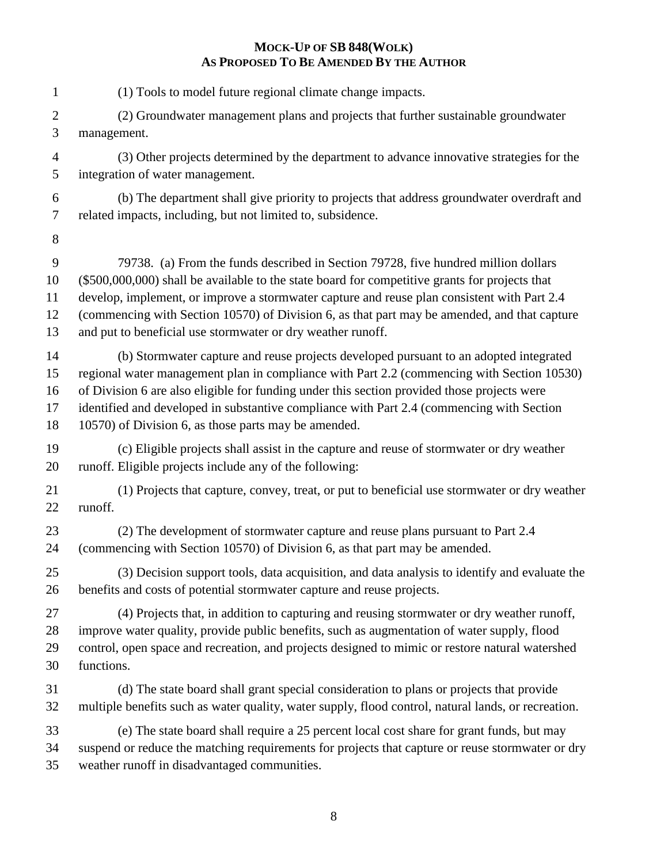(1) Tools to model future regional climate change impacts. (2) Groundwater management plans and projects that further sustainable groundwater management. (3) Other projects determined by the department to advance innovative strategies for the integration of water management. (b) The department shall give priority to projects that address groundwater overdraft and related impacts, including, but not limited to, subsidence. 79738. (a) From the funds described in Section 79728, five hundred million dollars (\$500,000,000) shall be available to the state board for competitive grants for projects that develop, implement, or improve a stormwater capture and reuse plan consistent with Part 2.4 (commencing with Section 10570) of Division 6, as that part may be amended, and that capture and put to beneficial use stormwater or dry weather runoff. (b) Stormwater capture and reuse projects developed pursuant to an adopted integrated regional water management plan in compliance with Part 2.2 (commencing with Section 10530) of Division 6 are also eligible for funding under this section provided those projects were identified and developed in substantive compliance with Part 2.4 (commencing with Section 10570) of Division 6, as those parts may be amended. (c) Eligible projects shall assist in the capture and reuse of stormwater or dry weather runoff. Eligible projects include any of the following: (1) Projects that capture, convey, treat, or put to beneficial use stormwater or dry weather runoff. (2) The development of stormwater capture and reuse plans pursuant to Part 2.4 (commencing with Section 10570) of Division 6, as that part may be amended. (3) Decision support tools, data acquisition, and data analysis to identify and evaluate the benefits and costs of potential stormwater capture and reuse projects. (4) Projects that, in addition to capturing and reusing stormwater or dry weather runoff, improve water quality, provide public benefits, such as augmentation of water supply, flood control, open space and recreation, and projects designed to mimic or restore natural watershed functions. (d) The state board shall grant special consideration to plans or projects that provide multiple benefits such as water quality, water supply, flood control, natural lands, or recreation. (e) The state board shall require a 25 percent local cost share for grant funds, but may suspend or reduce the matching requirements for projects that capture or reuse stormwater or dry weather runoff in disadvantaged communities.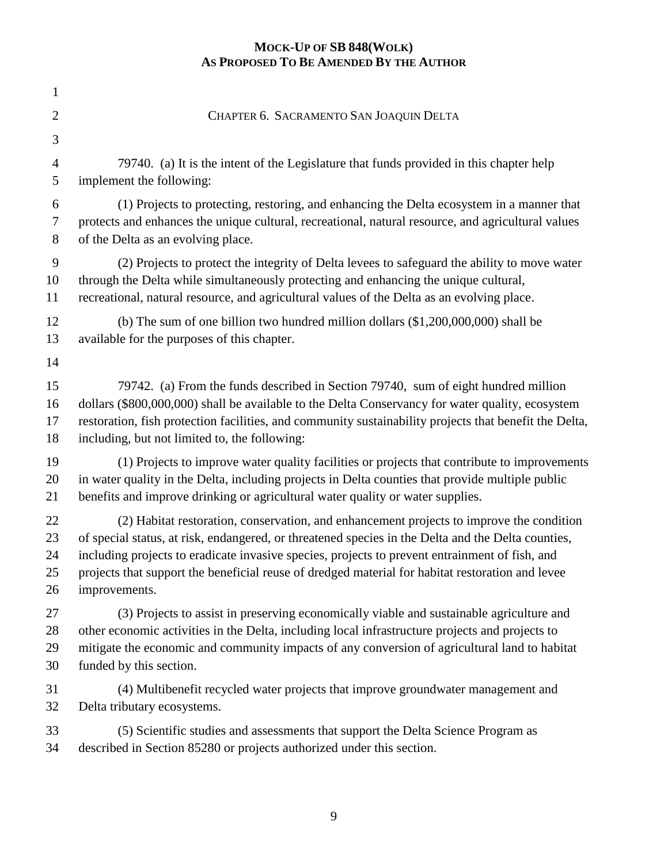| $\mathbf{1}$   |                                                                                                        |
|----------------|--------------------------------------------------------------------------------------------------------|
| $\overline{2}$ | CHAPTER 6. SACRAMENTO SAN JOAQUIN DELTA                                                                |
| 3              |                                                                                                        |
| $\overline{4}$ | 79740. (a) It is the intent of the Legislature that funds provided in this chapter help                |
| 5              | implement the following:                                                                               |
| 6              | (1) Projects to protecting, restoring, and enhancing the Delta ecosystem in a manner that              |
| $\tau$         | protects and enhances the unique cultural, recreational, natural resource, and agricultural values     |
| $8\phantom{1}$ | of the Delta as an evolving place.                                                                     |
| 9              | (2) Projects to protect the integrity of Delta levees to safeguard the ability to move water           |
| 10             | through the Delta while simultaneously protecting and enhancing the unique cultural,                   |
| 11             | recreational, natural resource, and agricultural values of the Delta as an evolving place.             |
| 12             | (b) The sum of one billion two hundred million dollars $(\$1,200,000,000)$ shall be                    |
| 13             | available for the purposes of this chapter.                                                            |
| 14             |                                                                                                        |
| 15             | 79742. (a) From the funds described in Section 79740, sum of eight hundred million                     |
| 16             | dollars (\$800,000,000) shall be available to the Delta Conservancy for water quality, ecosystem       |
| 17             | restoration, fish protection facilities, and community sustainability projects that benefit the Delta, |
| 18             | including, but not limited to, the following:                                                          |
| 19             | (1) Projects to improve water quality facilities or projects that contribute to improvements           |
| 20             | in water quality in the Delta, including projects in Delta counties that provide multiple public       |
| 21             | benefits and improve drinking or agricultural water quality or water supplies.                         |
| 22             | (2) Habitat restoration, conservation, and enhancement projects to improve the condition               |
| 23             | of special status, at risk, endangered, or threatened species in the Delta and the Delta counties,     |
| 24             | including projects to eradicate invasive species, projects to prevent entrainment of fish, and         |
| 25             | projects that support the beneficial reuse of dredged material for habitat restoration and levee       |
| 26             | improvements.                                                                                          |
| 27             | (3) Projects to assist in preserving economically viable and sustainable agriculture and               |
| 28             | other economic activities in the Delta, including local infrastructure projects and projects to        |
| 29             | mitigate the economic and community impacts of any conversion of agricultural land to habitat          |
| 30             | funded by this section.                                                                                |
| 31             | (4) Multibenefit recycled water projects that improve groundwater management and                       |
| 32             | Delta tributary ecosystems.                                                                            |
| 33             | (5) Scientific studies and assessments that support the Delta Science Program as                       |
| 34             | described in Section 85280 or projects authorized under this section.                                  |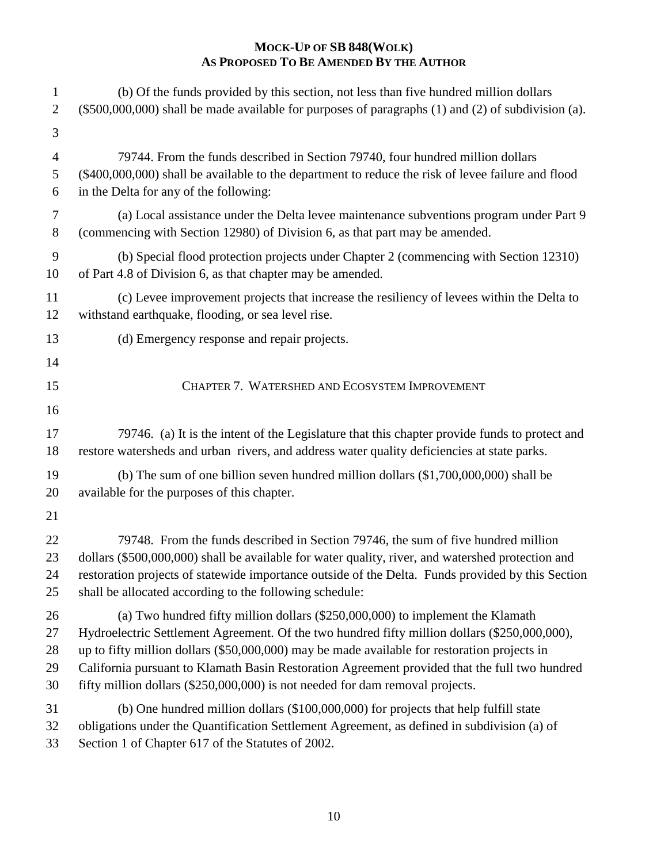| $\mathbf{1}$<br>$\overline{2}$<br>3 | (b) Of the funds provided by this section, not less than five hundred million dollars<br>$(\$500,000,000)$ shall be made available for purposes of paragraphs $(1)$ and $(2)$ of subdivision $(a)$ . |
|-------------------------------------|------------------------------------------------------------------------------------------------------------------------------------------------------------------------------------------------------|
| $\overline{4}$                      | 79744. From the funds described in Section 79740, four hundred million dollars                                                                                                                       |
| 5                                   | (\$400,000,000) shall be available to the department to reduce the risk of levee failure and flood                                                                                                   |
| 6                                   | in the Delta for any of the following:                                                                                                                                                               |
| $\tau$                              | (a) Local assistance under the Delta levee maintenance subventions program under Part 9                                                                                                              |
| $8\,$                               | (commencing with Section 12980) of Division 6, as that part may be amended.                                                                                                                          |
| 9                                   | (b) Special flood protection projects under Chapter 2 (commencing with Section 12310)                                                                                                                |
| 10                                  | of Part 4.8 of Division 6, as that chapter may be amended.                                                                                                                                           |
| 11                                  | (c) Levee improvement projects that increase the resiliency of levees within the Delta to                                                                                                            |
| 12                                  | withstand earthquake, flooding, or sea level rise.                                                                                                                                                   |
| 13                                  | (d) Emergency response and repair projects.                                                                                                                                                          |
| 14                                  |                                                                                                                                                                                                      |
| 15                                  | CHAPTER 7. WATERSHED AND ECOSYSTEM IMPROVEMENT                                                                                                                                                       |
| 16                                  |                                                                                                                                                                                                      |
| 17                                  | 79746. (a) It is the intent of the Legislature that this chapter provide funds to protect and                                                                                                        |
| 18                                  | restore watersheds and urban rivers, and address water quality deficiencies at state parks.                                                                                                          |
| 19                                  | (b) The sum of one billion seven hundred million dollars $(\$1,700,000,000)$ shall be                                                                                                                |
| 20                                  | available for the purposes of this chapter.                                                                                                                                                          |
| 21                                  |                                                                                                                                                                                                      |
| 22                                  | 79748. From the funds described in Section 79746, the sum of five hundred million                                                                                                                    |
| 23                                  | dollars (\$500,000,000) shall be available for water quality, river, and watershed protection and                                                                                                    |
| 24                                  | restoration projects of statewide importance outside of the Delta. Funds provided by this Section                                                                                                    |
| 25                                  | shall be allocated according to the following schedule:                                                                                                                                              |
| 26                                  | (a) Two hundred fifty million dollars $(\$250,000,000)$ to implement the Klamath                                                                                                                     |
| 27                                  | Hydroelectric Settlement Agreement. Of the two hundred fifty million dollars (\$250,000,000),                                                                                                        |
| 28                                  | up to fifty million dollars (\$50,000,000) may be made available for restoration projects in                                                                                                         |
| 29                                  | California pursuant to Klamath Basin Restoration Agreement provided that the full two hundred                                                                                                        |
| 30                                  | fifty million dollars (\$250,000,000) is not needed for dam removal projects.                                                                                                                        |
| 31                                  | (b) One hundred million dollars (\$100,000,000) for projects that help fulfill state                                                                                                                 |
| 32                                  | obligations under the Quantification Settlement Agreement, as defined in subdivision (a) of                                                                                                          |
| 33                                  | Section 1 of Chapter 617 of the Statutes of 2002.                                                                                                                                                    |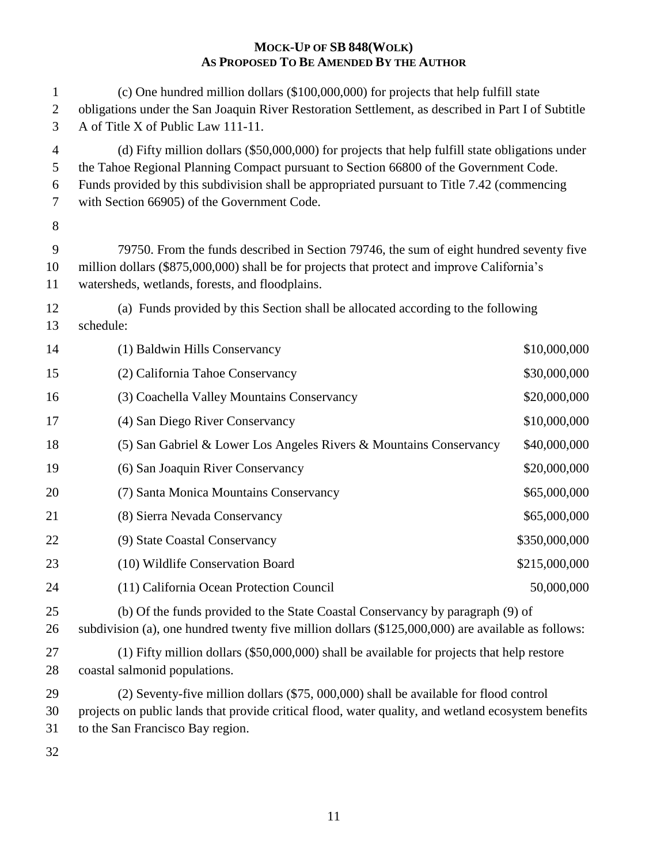| 1<br>$\overline{2}$<br>3 | (c) One hundred million dollars (\$100,000,000) for projects that help fulfill state<br>obligations under the San Joaquin River Restoration Settlement, as described in Part I of Subtitle<br>A of Title X of Public Law 111-11.                                                                                                       |               |
|--------------------------|----------------------------------------------------------------------------------------------------------------------------------------------------------------------------------------------------------------------------------------------------------------------------------------------------------------------------------------|---------------|
| 4<br>5<br>6<br>7         | (d) Fifty million dollars (\$50,000,000) for projects that help fulfill state obligations under<br>the Tahoe Regional Planning Compact pursuant to Section 66800 of the Government Code.<br>Funds provided by this subdivision shall be appropriated pursuant to Title 7.42 (commencing<br>with Section 66905) of the Government Code. |               |
| $8\,$                    |                                                                                                                                                                                                                                                                                                                                        |               |
| 9<br>10<br>11            | 79750. From the funds described in Section 79746, the sum of eight hundred seventy five<br>million dollars (\$875,000,000) shall be for projects that protect and improve California's<br>watersheds, wetlands, forests, and floodplains.                                                                                              |               |
| 12<br>13                 | (a) Funds provided by this Section shall be allocated according to the following<br>schedule:                                                                                                                                                                                                                                          |               |
| 14                       | (1) Baldwin Hills Conservancy                                                                                                                                                                                                                                                                                                          | \$10,000,000  |
| 15                       | (2) California Tahoe Conservancy                                                                                                                                                                                                                                                                                                       | \$30,000,000  |
| 16                       | (3) Coachella Valley Mountains Conservancy                                                                                                                                                                                                                                                                                             | \$20,000,000  |
| 17                       | (4) San Diego River Conservancy                                                                                                                                                                                                                                                                                                        | \$10,000,000  |
| 18                       | (5) San Gabriel & Lower Los Angeles Rivers & Mountains Conservancy                                                                                                                                                                                                                                                                     | \$40,000,000  |
| 19                       | (6) San Joaquin River Conservancy                                                                                                                                                                                                                                                                                                      | \$20,000,000  |
| 20                       | (7) Santa Monica Mountains Conservancy                                                                                                                                                                                                                                                                                                 | \$65,000,000  |
| 21                       | (8) Sierra Nevada Conservancy                                                                                                                                                                                                                                                                                                          | \$65,000,000  |
| 22                       | (9) State Coastal Conservancy                                                                                                                                                                                                                                                                                                          | \$350,000,000 |
| 23                       | (10) Wildlife Conservation Board                                                                                                                                                                                                                                                                                                       | \$215,000,000 |
| 24                       | (11) California Ocean Protection Council                                                                                                                                                                                                                                                                                               | 50,000,000    |
| 25<br>26                 | (b) Of the funds provided to the State Coastal Conservancy by paragraph (9) of<br>subdivision (a), one hundred twenty five million dollars (\$125,000,000) are available as follows:                                                                                                                                                   |               |
| 27<br>28                 | $(1)$ Fifty million dollars (\$50,000,000) shall be available for projects that help restore<br>coastal salmonid populations.                                                                                                                                                                                                          |               |
| 29<br>30<br>31           | (2) Seventy-five million dollars (\$75, 000,000) shall be available for flood control<br>projects on public lands that provide critical flood, water quality, and wetland ecosystem benefits<br>to the San Francisco Bay region.                                                                                                       |               |
| 32                       |                                                                                                                                                                                                                                                                                                                                        |               |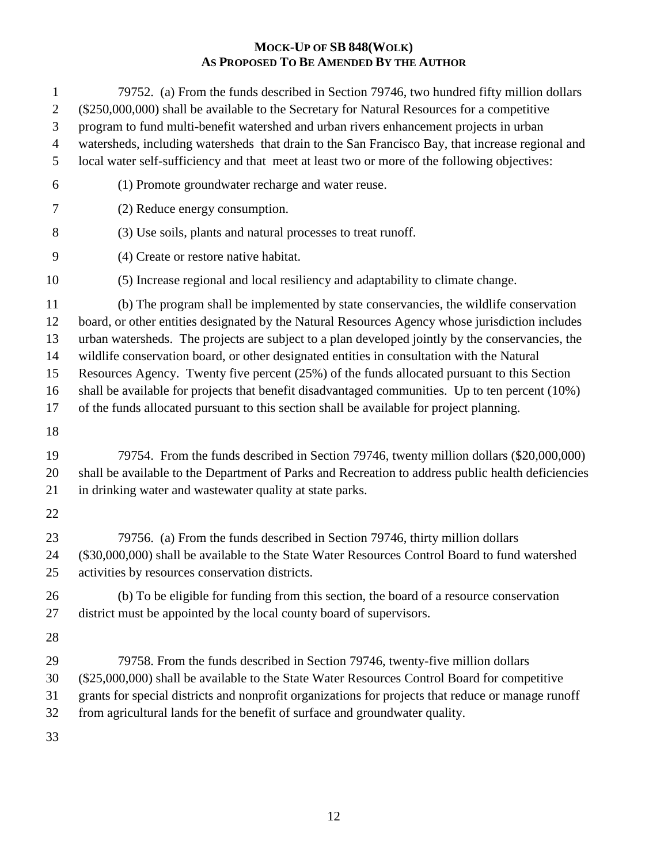| 1<br>$\mathbf{2}$<br>3<br>$\overline{4}$<br>5 | 79752. (a) From the funds described in Section 79746, two hundred fifty million dollars<br>(\$250,000,000) shall be available to the Secretary for Natural Resources for a competitive<br>program to fund multi-benefit watershed and urban rivers enhancement projects in urban<br>watersheds, including watersheds that drain to the San Francisco Bay, that increase regional and<br>local water self-sufficiency and that meet at least two or more of the following objectives:                                                                                                                                                                                                      |
|-----------------------------------------------|-------------------------------------------------------------------------------------------------------------------------------------------------------------------------------------------------------------------------------------------------------------------------------------------------------------------------------------------------------------------------------------------------------------------------------------------------------------------------------------------------------------------------------------------------------------------------------------------------------------------------------------------------------------------------------------------|
| 6                                             | (1) Promote groundwater recharge and water reuse.                                                                                                                                                                                                                                                                                                                                                                                                                                                                                                                                                                                                                                         |
| 7                                             | (2) Reduce energy consumption.                                                                                                                                                                                                                                                                                                                                                                                                                                                                                                                                                                                                                                                            |
| 8                                             | (3) Use soils, plants and natural processes to treat runoff.                                                                                                                                                                                                                                                                                                                                                                                                                                                                                                                                                                                                                              |
| 9                                             | (4) Create or restore native habitat.                                                                                                                                                                                                                                                                                                                                                                                                                                                                                                                                                                                                                                                     |
| 10                                            | (5) Increase regional and local resiliency and adaptability to climate change.                                                                                                                                                                                                                                                                                                                                                                                                                                                                                                                                                                                                            |
| 11<br>12<br>13<br>14<br>15<br>16<br>17        | (b) The program shall be implemented by state conservancies, the wildlife conservation<br>board, or other entities designated by the Natural Resources Agency whose jurisdiction includes<br>urban watersheds. The projects are subject to a plan developed jointly by the conservancies, the<br>wildlife conservation board, or other designated entities in consultation with the Natural<br>Resources Agency. Twenty five percent (25%) of the funds allocated pursuant to this Section<br>shall be available for projects that benefit disadvantaged communities. Up to ten percent (10%)<br>of the funds allocated pursuant to this section shall be available for project planning. |
| 18                                            |                                                                                                                                                                                                                                                                                                                                                                                                                                                                                                                                                                                                                                                                                           |
| 19<br>20<br>21                                | 79754. From the funds described in Section 79746, twenty million dollars (\$20,000,000)<br>shall be available to the Department of Parks and Recreation to address public health deficiencies<br>in drinking water and wastewater quality at state parks.                                                                                                                                                                                                                                                                                                                                                                                                                                 |
| 22                                            |                                                                                                                                                                                                                                                                                                                                                                                                                                                                                                                                                                                                                                                                                           |
| 23<br>24<br>25                                | 79756. (a) From the funds described in Section 79746, thirty million dollars<br>(\$30,000,000) shall be available to the State Water Resources Control Board to fund watershed<br>activities by resources conservation districts.                                                                                                                                                                                                                                                                                                                                                                                                                                                         |
| 26<br>27                                      | (b) To be eligible for funding from this section, the board of a resource conservation<br>district must be appointed by the local county board of supervisors.                                                                                                                                                                                                                                                                                                                                                                                                                                                                                                                            |
| 28                                            |                                                                                                                                                                                                                                                                                                                                                                                                                                                                                                                                                                                                                                                                                           |
| 29<br>30<br>31<br>32<br>33                    | 79758. From the funds described in Section 79746, twenty-five million dollars<br>(\$25,000,000) shall be available to the State Water Resources Control Board for competitive<br>grants for special districts and nonprofit organizations for projects that reduce or manage runoff<br>from agricultural lands for the benefit of surface and groundwater quality.                                                                                                                                                                                                                                                                                                                        |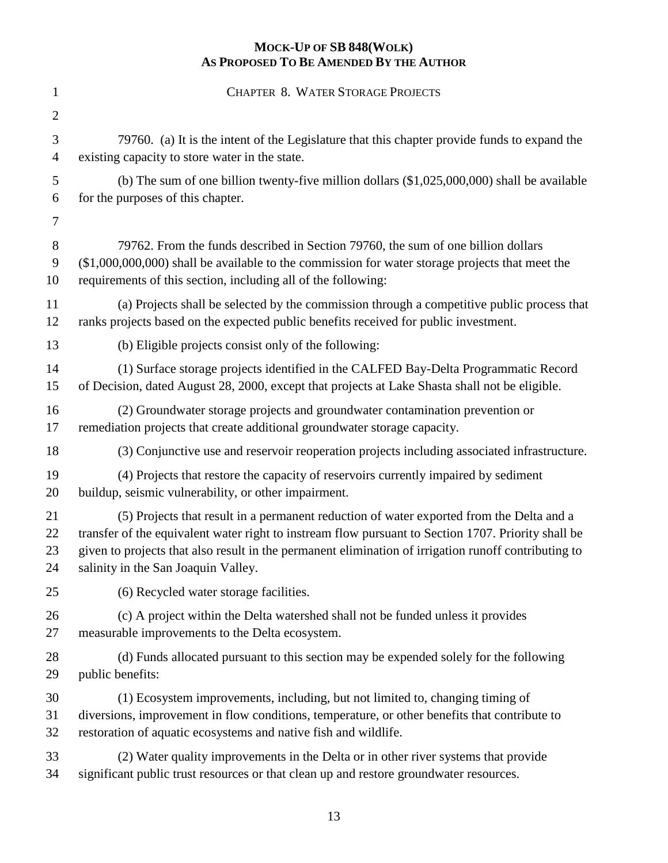| $\mathbf{1}$   | <b>CHAPTER 8. WATER STORAGE PROJECTS</b>                                                             |
|----------------|------------------------------------------------------------------------------------------------------|
| $\overline{2}$ |                                                                                                      |
| 3              | 79760. (a) It is the intent of the Legislature that this chapter provide funds to expand the         |
| 4              | existing capacity to store water in the state.                                                       |
| 5              | (b) The sum of one billion twenty-five million dollars $(\$1,025,000,000)$ shall be available        |
| 6              | for the purposes of this chapter.                                                                    |
| 7              |                                                                                                      |
| 8              | 79762. From the funds described in Section 79760, the sum of one billion dollars                     |
| 9              | $(\$1,000,000,000)$ shall be available to the commission for water storage projects that meet the    |
| 10             | requirements of this section, including all of the following:                                        |
| 11             | (a) Projects shall be selected by the commission through a competitive public process that           |
| 12             | ranks projects based on the expected public benefits received for public investment.                 |
| 13             | (b) Eligible projects consist only of the following:                                                 |
| 14             | (1) Surface storage projects identified in the CALFED Bay-Delta Programmatic Record                  |
| 15             | of Decision, dated August 28, 2000, except that projects at Lake Shasta shall not be eligible.       |
| 16             | (2) Groundwater storage projects and groundwater contamination prevention or                         |
| 17             | remediation projects that create additional groundwater storage capacity.                            |
| 18             | (3) Conjunctive use and reservoir reoperation projects including associated infrastructure.          |
| 19             | (4) Projects that restore the capacity of reservoirs currently impaired by sediment                  |
| 20             | buildup, seismic vulnerability, or other impairment.                                                 |
| 21             | (5) Projects that result in a permanent reduction of water exported from the Delta and a             |
| 22             | transfer of the equivalent water right to instream flow pursuant to Section 1707. Priority shall be  |
| 23             | given to projects that also result in the permanent elimination of irrigation runoff contributing to |
| 24             | salinity in the San Joaquin Valley.                                                                  |
| 25             | (6) Recycled water storage facilities.                                                               |
| 26             | (c) A project within the Delta watershed shall not be funded unless it provides                      |
| 27             | measurable improvements to the Delta ecosystem.                                                      |
| 28             | (d) Funds allocated pursuant to this section may be expended solely for the following                |
| 29             | public benefits:                                                                                     |
| 30             | (1) Ecosystem improvements, including, but not limited to, changing timing of                        |
| 31             | diversions, improvement in flow conditions, temperature, or other benefits that contribute to        |
| 32             | restoration of aquatic ecosystems and native fish and wildlife.                                      |
| 33             | (2) Water quality improvements in the Delta or in other river systems that provide                   |
| 34             | significant public trust resources or that clean up and restore groundwater resources.               |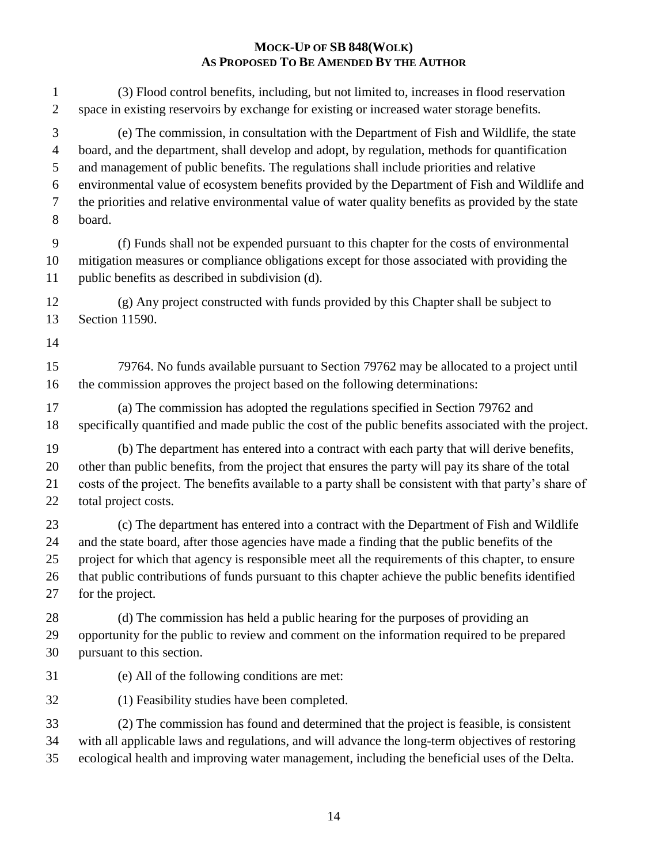| $\mathbf{1}$   | (3) Flood control benefits, including, but not limited to, increases in flood reservation                                                                             |
|----------------|-----------------------------------------------------------------------------------------------------------------------------------------------------------------------|
| $\overline{2}$ | space in existing reservoirs by exchange for existing or increased water storage benefits.                                                                            |
| 3              | (e) The commission, in consultation with the Department of Fish and Wildlife, the state                                                                               |
| $\overline{4}$ | board, and the department, shall develop and adopt, by regulation, methods for quantification                                                                         |
| 5              | and management of public benefits. The regulations shall include priorities and relative                                                                              |
| 6              | environmental value of ecosystem benefits provided by the Department of Fish and Wildlife and                                                                         |
| 7              | the priorities and relative environmental value of water quality benefits as provided by the state                                                                    |
| 8              | board.                                                                                                                                                                |
| $\mathbf{9}$   | (f) Funds shall not be expended pursuant to this chapter for the costs of environmental                                                                               |
| 10             | mitigation measures or compliance obligations except for those associated with providing the                                                                          |
| 11             | public benefits as described in subdivision (d).                                                                                                                      |
| 12             | (g) Any project constructed with funds provided by this Chapter shall be subject to                                                                                   |
| 13             | Section 11590.                                                                                                                                                        |
| 14<br>15<br>16 | 79764. No funds available pursuant to Section 79762 may be allocated to a project until<br>the commission approves the project based on the following determinations: |
| 17             | (a) The commission has adopted the regulations specified in Section 79762 and                                                                                         |
| 18             | specifically quantified and made public the cost of the public benefits associated with the project.                                                                  |
| 19             | (b) The department has entered into a contract with each party that will derive benefits,                                                                             |
| 20             | other than public benefits, from the project that ensures the party will pay its share of the total                                                                   |
| 21             | costs of the project. The benefits available to a party shall be consistent with that party's share of                                                                |
| 22             | total project costs.                                                                                                                                                  |
| 23             | (c) The department has entered into a contract with the Department of Fish and Wildlife                                                                               |
| 24             | and the state board, after those agencies have made a finding that the public benefits of the                                                                         |
| 25             | project for which that agency is responsible meet all the requirements of this chapter, to ensure                                                                     |
| $26\,$         | that public contributions of funds pursuant to this chapter achieve the public benefits identified                                                                    |
| 27             | for the project.                                                                                                                                                      |
| 28             | (d) The commission has held a public hearing for the purposes of providing an                                                                                         |
| 29             | opportunity for the public to review and comment on the information required to be prepared                                                                           |
| 30             | pursuant to this section.                                                                                                                                             |
| 31             | (e) All of the following conditions are met:                                                                                                                          |
| 32             | (1) Feasibility studies have been completed.                                                                                                                          |
| 33             | (2) The commission has found and determined that the project is feasible, is consistent                                                                               |
| 34             | with all applicable laws and regulations, and will advance the long-term objectives of restoring                                                                      |
| 35             | ecological health and improving water management, including the beneficial uses of the Delta.                                                                         |
|                |                                                                                                                                                                       |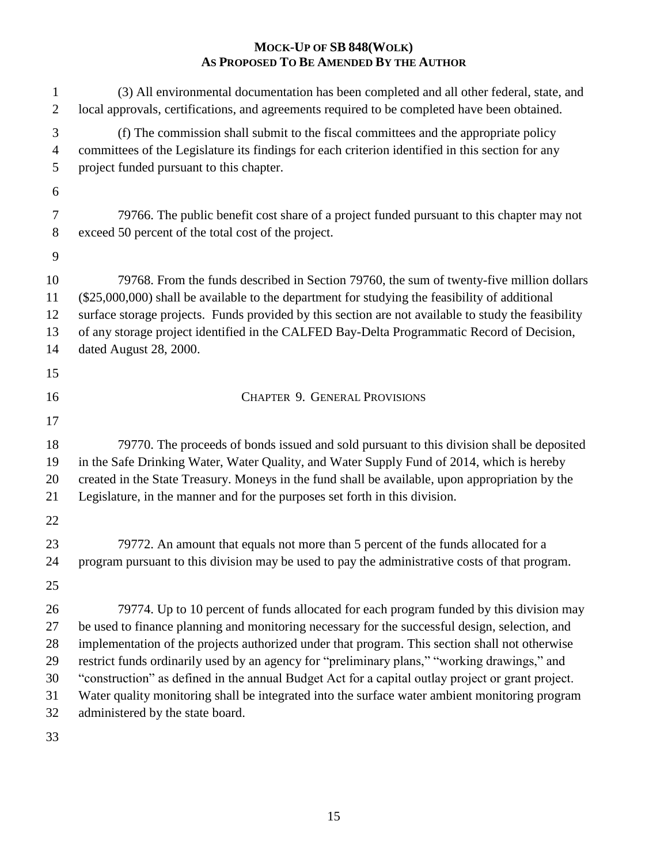| 1<br>$\overline{2}$                          | (3) All environmental documentation has been completed and all other federal, state, and<br>local approvals, certifications, and agreements required to be completed have been obtained.                                                                                                                                                                                                                                                                                                                                                                                                                                               |
|----------------------------------------------|----------------------------------------------------------------------------------------------------------------------------------------------------------------------------------------------------------------------------------------------------------------------------------------------------------------------------------------------------------------------------------------------------------------------------------------------------------------------------------------------------------------------------------------------------------------------------------------------------------------------------------------|
| 3<br>$\overline{4}$<br>5                     | (f) The commission shall submit to the fiscal committees and the appropriate policy<br>committees of the Legislature its findings for each criterion identified in this section for any<br>project funded pursuant to this chapter.                                                                                                                                                                                                                                                                                                                                                                                                    |
| 6                                            |                                                                                                                                                                                                                                                                                                                                                                                                                                                                                                                                                                                                                                        |
| 7<br>$8\,$                                   | 79766. The public benefit cost share of a project funded pursuant to this chapter may not<br>exceed 50 percent of the total cost of the project.                                                                                                                                                                                                                                                                                                                                                                                                                                                                                       |
| 9                                            |                                                                                                                                                                                                                                                                                                                                                                                                                                                                                                                                                                                                                                        |
| 10<br>11<br>12<br>13<br>14                   | 79768. From the funds described in Section 79760, the sum of twenty-five million dollars<br>$(\$25,000,000)$ shall be available to the department for studying the feasibility of additional<br>surface storage projects. Funds provided by this section are not available to study the feasibility<br>of any storage project identified in the CALFED Bay-Delta Programmatic Record of Decision,<br>dated August 28, 2000.                                                                                                                                                                                                            |
| 15                                           |                                                                                                                                                                                                                                                                                                                                                                                                                                                                                                                                                                                                                                        |
| 16                                           | <b>CHAPTER 9. GENERAL PROVISIONS</b>                                                                                                                                                                                                                                                                                                                                                                                                                                                                                                                                                                                                   |
| 17                                           |                                                                                                                                                                                                                                                                                                                                                                                                                                                                                                                                                                                                                                        |
| 18<br>19<br>20<br>21                         | 79770. The proceeds of bonds issued and sold pursuant to this division shall be deposited<br>in the Safe Drinking Water, Water Quality, and Water Supply Fund of 2014, which is hereby<br>created in the State Treasury. Moneys in the fund shall be available, upon appropriation by the<br>Legislature, in the manner and for the purposes set forth in this division.                                                                                                                                                                                                                                                               |
| 22                                           |                                                                                                                                                                                                                                                                                                                                                                                                                                                                                                                                                                                                                                        |
| 23<br>24<br>25                               | 79772. An amount that equals not more than 5 percent of the funds allocated for a<br>program pursuant to this division may be used to pay the administrative costs of that program.                                                                                                                                                                                                                                                                                                                                                                                                                                                    |
| 26<br>27<br>28<br>29<br>30<br>31<br>32<br>33 | 79774. Up to 10 percent of funds allocated for each program funded by this division may<br>be used to finance planning and monitoring necessary for the successful design, selection, and<br>implementation of the projects authorized under that program. This section shall not otherwise<br>restrict funds ordinarily used by an agency for "preliminary plans," "working drawings," and<br>"construction" as defined in the annual Budget Act for a capital outlay project or grant project.<br>Water quality monitoring shall be integrated into the surface water ambient monitoring program<br>administered by the state board. |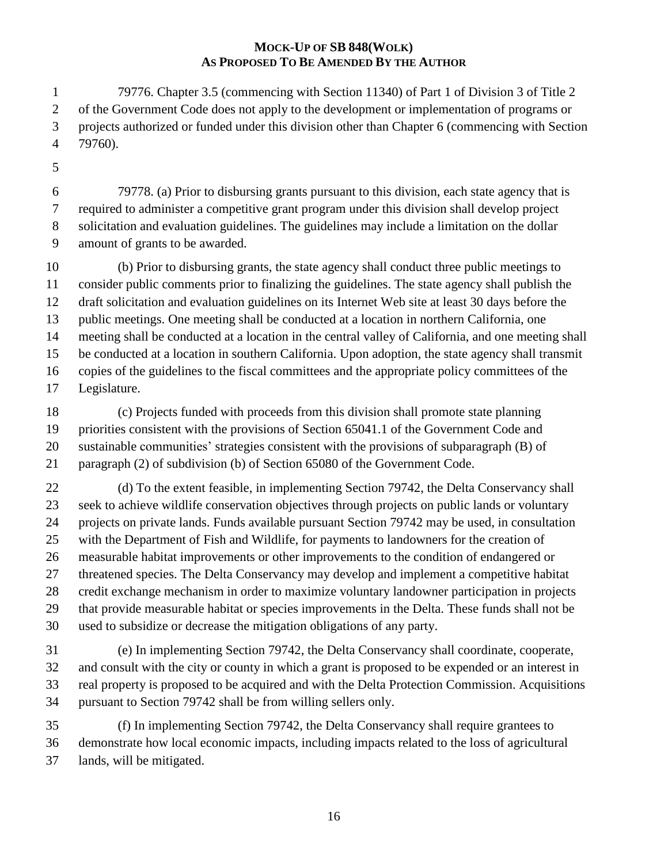79776. Chapter 3.5 (commencing with Section 11340) of Part 1 of Division 3 of Title 2 of the Government Code does not apply to the development or implementation of programs or projects authorized or funded under this division other than Chapter 6 (commencing with Section 79760).

 79778. (a) Prior to disbursing grants pursuant to this division, each state agency that is required to administer a competitive grant program under this division shall develop project solicitation and evaluation guidelines. The guidelines may include a limitation on the dollar amount of grants to be awarded.

 (b) Prior to disbursing grants, the state agency shall conduct three public meetings to consider public comments prior to finalizing the guidelines. The state agency shall publish the draft solicitation and evaluation guidelines on its Internet Web site at least 30 days before the public meetings. One meeting shall be conducted at a location in northern California, one meeting shall be conducted at a location in the central valley of California, and one meeting shall be conducted at a location in southern California. Upon adoption, the state agency shall transmit copies of the guidelines to the fiscal committees and the appropriate policy committees of the Legislature.

 (c) Projects funded with proceeds from this division shall promote state planning priorities consistent with the provisions of Section 65041.1 of the Government Code and sustainable communities' strategies consistent with the provisions of subparagraph (B) of paragraph (2) of subdivision (b) of Section 65080 of the Government Code.

22 (d) To the extent feasible, in implementing Section 79742, the Delta Conservancy shall seek to achieve wildlife conservation objectives through projects on public lands or voluntary projects on private lands. Funds available pursuant Section 79742 may be used, in consultation with the Department of Fish and Wildlife, for payments to landowners for the creation of measurable habitat improvements or other improvements to the condition of endangered or threatened species. The Delta Conservancy may develop and implement a competitive habitat credit exchange mechanism in order to maximize voluntary landowner participation in projects that provide measurable habitat or species improvements in the Delta. These funds shall not be used to subsidize or decrease the mitigation obligations of any party.

 (e) In implementing Section 79742, the Delta Conservancy shall coordinate, cooperate, and consult with the city or county in which a grant is proposed to be expended or an interest in real property is proposed to be acquired and with the Delta Protection Commission. Acquisitions pursuant to Section 79742 shall be from willing sellers only.

 (f) In implementing Section 79742, the Delta Conservancy shall require grantees to demonstrate how local economic impacts, including impacts related to the loss of agricultural lands, will be mitigated.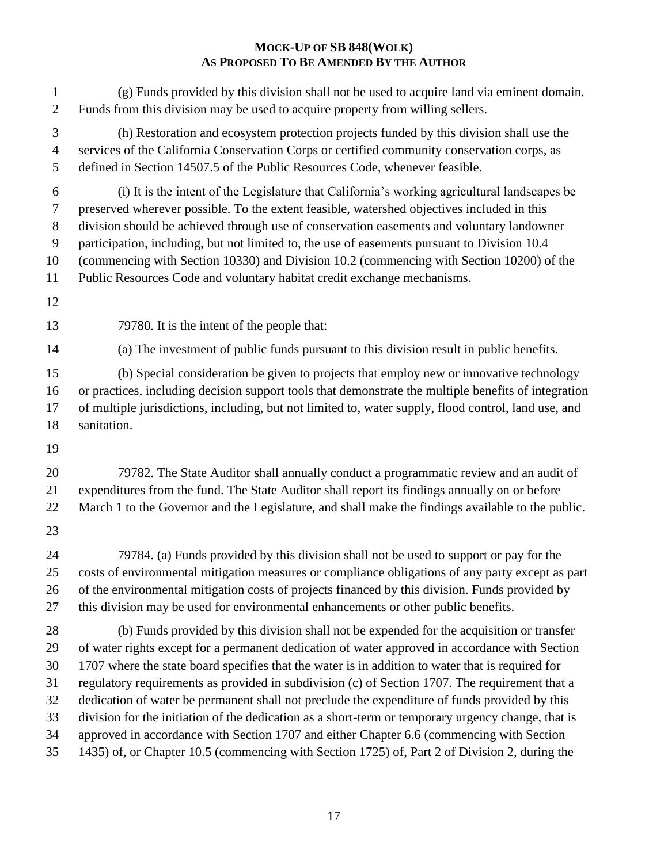| $\mathbf{1}$                                | (g) Funds provided by this division shall not be used to acquire land via eminent domain.                                                                                                                                                                                                                                                                                                                                                                                                                                                                      |
|---------------------------------------------|----------------------------------------------------------------------------------------------------------------------------------------------------------------------------------------------------------------------------------------------------------------------------------------------------------------------------------------------------------------------------------------------------------------------------------------------------------------------------------------------------------------------------------------------------------------|
| $\overline{2}$                              | Funds from this division may be used to acquire property from willing sellers.                                                                                                                                                                                                                                                                                                                                                                                                                                                                                 |
| 3                                           | (h) Restoration and ecosystem protection projects funded by this division shall use the                                                                                                                                                                                                                                                                                                                                                                                                                                                                        |
| $\overline{4}$                              | services of the California Conservation Corps or certified community conservation corps, as                                                                                                                                                                                                                                                                                                                                                                                                                                                                    |
| 5                                           | defined in Section 14507.5 of the Public Resources Code, whenever feasible.                                                                                                                                                                                                                                                                                                                                                                                                                                                                                    |
| 6<br>$\tau$<br>$8\,$<br>9<br>10<br>11<br>12 | (i) It is the intent of the Legislature that California's working agricultural landscapes be<br>preserved wherever possible. To the extent feasible, watershed objectives included in this<br>division should be achieved through use of conservation easements and voluntary landowner<br>participation, including, but not limited to, the use of easements pursuant to Division 10.4<br>(commencing with Section 10330) and Division 10.2 (commencing with Section 10200) of the<br>Public Resources Code and voluntary habitat credit exchange mechanisms. |
| 13                                          | 79780. It is the intent of the people that:                                                                                                                                                                                                                                                                                                                                                                                                                                                                                                                    |
| 14                                          | (a) The investment of public funds pursuant to this division result in public benefits.                                                                                                                                                                                                                                                                                                                                                                                                                                                                        |
| 15                                          | (b) Special consideration be given to projects that employ new or innovative technology                                                                                                                                                                                                                                                                                                                                                                                                                                                                        |
| 16                                          | or practices, including decision support tools that demonstrate the multiple benefits of integration                                                                                                                                                                                                                                                                                                                                                                                                                                                           |
| 17                                          | of multiple jurisdictions, including, but not limited to, water supply, flood control, land use, and                                                                                                                                                                                                                                                                                                                                                                                                                                                           |
| 18                                          | sanitation.                                                                                                                                                                                                                                                                                                                                                                                                                                                                                                                                                    |
| 19                                          |                                                                                                                                                                                                                                                                                                                                                                                                                                                                                                                                                                |
| 20                                          | 79782. The State Auditor shall annually conduct a programmatic review and an audit of                                                                                                                                                                                                                                                                                                                                                                                                                                                                          |
| 21                                          | expenditures from the fund. The State Auditor shall report its findings annually on or before                                                                                                                                                                                                                                                                                                                                                                                                                                                                  |
| 22                                          | March 1 to the Governor and the Legislature, and shall make the findings available to the public.                                                                                                                                                                                                                                                                                                                                                                                                                                                              |
| 23                                          |                                                                                                                                                                                                                                                                                                                                                                                                                                                                                                                                                                |
| 24                                          | 79784. (a) Funds provided by this division shall not be used to support or pay for the                                                                                                                                                                                                                                                                                                                                                                                                                                                                         |
| 25                                          | costs of environmental mitigation measures or compliance obligations of any party except as part                                                                                                                                                                                                                                                                                                                                                                                                                                                               |
| 26                                          | of the environmental mitigation costs of projects financed by this division. Funds provided by                                                                                                                                                                                                                                                                                                                                                                                                                                                                 |
| 27                                          | this division may be used for environmental enhancements or other public benefits.                                                                                                                                                                                                                                                                                                                                                                                                                                                                             |
| 28                                          | (b) Funds provided by this division shall not be expended for the acquisition or transfer                                                                                                                                                                                                                                                                                                                                                                                                                                                                      |
| 29                                          | of water rights except for a permanent dedication of water approved in accordance with Section                                                                                                                                                                                                                                                                                                                                                                                                                                                                 |
| 30                                          | 1707 where the state board specifies that the water is in addition to water that is required for                                                                                                                                                                                                                                                                                                                                                                                                                                                               |
| 31                                          | regulatory requirements as provided in subdivision (c) of Section 1707. The requirement that a                                                                                                                                                                                                                                                                                                                                                                                                                                                                 |
| 32                                          | dedication of water be permanent shall not preclude the expenditure of funds provided by this                                                                                                                                                                                                                                                                                                                                                                                                                                                                  |
| 33                                          | division for the initiation of the dedication as a short-term or temporary urgency change, that is                                                                                                                                                                                                                                                                                                                                                                                                                                                             |
| 34                                          | approved in accordance with Section 1707 and either Chapter 6.6 (commencing with Section                                                                                                                                                                                                                                                                                                                                                                                                                                                                       |
| 35                                          | 1435) of, or Chapter 10.5 (commencing with Section 1725) of, Part 2 of Division 2, during the                                                                                                                                                                                                                                                                                                                                                                                                                                                                  |
|                                             |                                                                                                                                                                                                                                                                                                                                                                                                                                                                                                                                                                |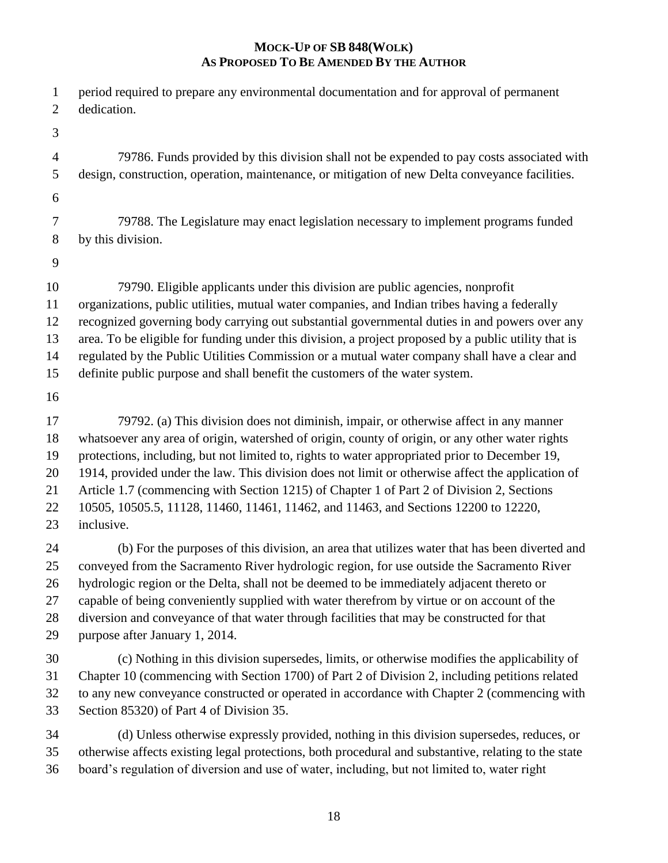| $\mathbf{1}$                           | period required to prepare any environmental documentation and for approval of permanent                                                                                                                                                                                                                                                                                                                                                                                                                                                                                 |
|----------------------------------------|--------------------------------------------------------------------------------------------------------------------------------------------------------------------------------------------------------------------------------------------------------------------------------------------------------------------------------------------------------------------------------------------------------------------------------------------------------------------------------------------------------------------------------------------------------------------------|
| $\overline{2}$                         | dedication.                                                                                                                                                                                                                                                                                                                                                                                                                                                                                                                                                              |
| 3                                      |                                                                                                                                                                                                                                                                                                                                                                                                                                                                                                                                                                          |
| $\overline{4}$                         | 79786. Funds provided by this division shall not be expended to pay costs associated with                                                                                                                                                                                                                                                                                                                                                                                                                                                                                |
| 5                                      | design, construction, operation, maintenance, or mitigation of new Delta conveyance facilities.                                                                                                                                                                                                                                                                                                                                                                                                                                                                          |
| 6                                      |                                                                                                                                                                                                                                                                                                                                                                                                                                                                                                                                                                          |
| 7                                      | 79788. The Legislature may enact legislation necessary to implement programs funded                                                                                                                                                                                                                                                                                                                                                                                                                                                                                      |
| 8                                      | by this division.                                                                                                                                                                                                                                                                                                                                                                                                                                                                                                                                                        |
| 9                                      |                                                                                                                                                                                                                                                                                                                                                                                                                                                                                                                                                                          |
| 10<br>11<br>12<br>13<br>14<br>15<br>16 | 79790. Eligible applicants under this division are public agencies, nonprofit<br>organizations, public utilities, mutual water companies, and Indian tribes having a federally<br>recognized governing body carrying out substantial governmental duties in and powers over any<br>area. To be eligible for funding under this division, a project proposed by a public utility that is<br>regulated by the Public Utilities Commission or a mutual water company shall have a clear and<br>definite public purpose and shall benefit the customers of the water system. |
| 17                                     | 79792. (a) This division does not diminish, impair, or otherwise affect in any manner                                                                                                                                                                                                                                                                                                                                                                                                                                                                                    |
| 18                                     | whatsoever any area of origin, watershed of origin, county of origin, or any other water rights                                                                                                                                                                                                                                                                                                                                                                                                                                                                          |
| 19                                     | protections, including, but not limited to, rights to water appropriated prior to December 19,                                                                                                                                                                                                                                                                                                                                                                                                                                                                           |
| 20                                     | 1914, provided under the law. This division does not limit or otherwise affect the application of                                                                                                                                                                                                                                                                                                                                                                                                                                                                        |
| 21                                     | Article 1.7 (commencing with Section 1215) of Chapter 1 of Part 2 of Division 2, Sections                                                                                                                                                                                                                                                                                                                                                                                                                                                                                |
| 22                                     | 10505, 10505.5, 11128, 11460, 11461, 11462, and 11463, and Sections 12200 to 12220,                                                                                                                                                                                                                                                                                                                                                                                                                                                                                      |
| 23                                     | inclusive.                                                                                                                                                                                                                                                                                                                                                                                                                                                                                                                                                               |
| 24                                     | (b) For the purposes of this division, an area that utilizes water that has been diverted and                                                                                                                                                                                                                                                                                                                                                                                                                                                                            |
| 25                                     | conveyed from the Sacramento River hydrologic region, for use outside the Sacramento River                                                                                                                                                                                                                                                                                                                                                                                                                                                                               |
| 26                                     | hydrologic region or the Delta, shall not be deemed to be immediately adjacent thereto or                                                                                                                                                                                                                                                                                                                                                                                                                                                                                |
| 27                                     | capable of being conveniently supplied with water therefrom by virtue or on account of the                                                                                                                                                                                                                                                                                                                                                                                                                                                                               |
| 28                                     | diversion and conveyance of that water through facilities that may be constructed for that                                                                                                                                                                                                                                                                                                                                                                                                                                                                               |
| 29                                     | purpose after January 1, 2014.                                                                                                                                                                                                                                                                                                                                                                                                                                                                                                                                           |
| 30                                     | (c) Nothing in this division supersedes, limits, or otherwise modifies the applicability of                                                                                                                                                                                                                                                                                                                                                                                                                                                                              |
| 31                                     | Chapter 10 (commencing with Section 1700) of Part 2 of Division 2, including petitions related                                                                                                                                                                                                                                                                                                                                                                                                                                                                           |
| 32                                     | to any new conveyance constructed or operated in accordance with Chapter 2 (commencing with                                                                                                                                                                                                                                                                                                                                                                                                                                                                              |
| 33                                     | Section 85320) of Part 4 of Division 35.                                                                                                                                                                                                                                                                                                                                                                                                                                                                                                                                 |
| 34                                     | (d) Unless otherwise expressly provided, nothing in this division supersedes, reduces, or                                                                                                                                                                                                                                                                                                                                                                                                                                                                                |
| 35                                     | otherwise affects existing legal protections, both procedural and substantive, relating to the state                                                                                                                                                                                                                                                                                                                                                                                                                                                                     |

board's regulation of diversion and use of water, including, but not limited to, water right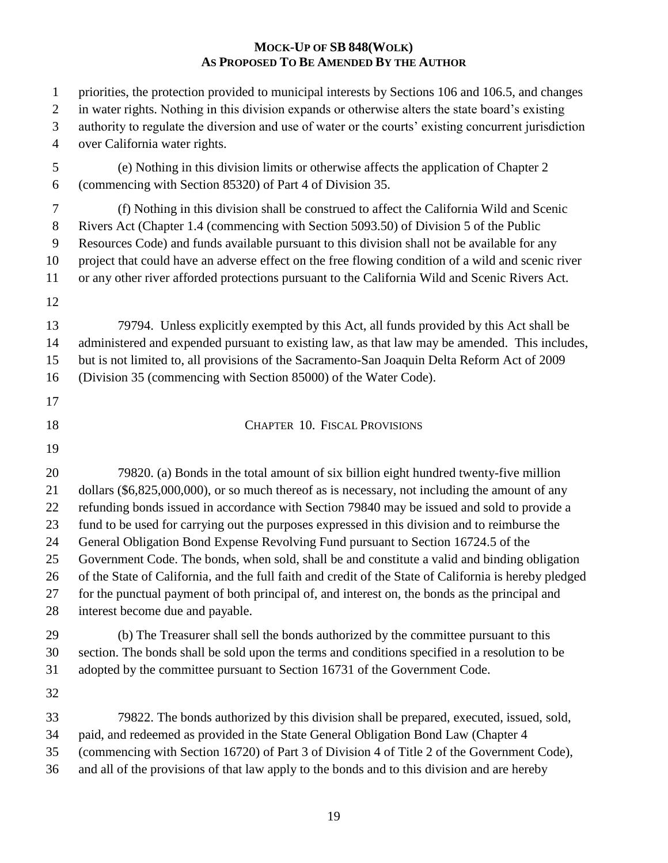| $\mathbf{1}$                     | priorities, the protection provided to municipal interests by Sections 106 and 106.5, and changes                                                                                                                                                                                                                                                            |
|----------------------------------|--------------------------------------------------------------------------------------------------------------------------------------------------------------------------------------------------------------------------------------------------------------------------------------------------------------------------------------------------------------|
| $\overline{2}$                   | in water rights. Nothing in this division expands or otherwise alters the state board's existing                                                                                                                                                                                                                                                             |
| $\mathfrak{Z}$                   | authority to regulate the diversion and use of water or the courts' existing concurrent jurisdiction                                                                                                                                                                                                                                                         |
| $\overline{4}$                   | over California water rights.                                                                                                                                                                                                                                                                                                                                |
| $\mathfrak{S}$                   | (e) Nothing in this division limits or otherwise affects the application of Chapter 2                                                                                                                                                                                                                                                                        |
| 6                                | (commencing with Section 85320) of Part 4 of Division 35.                                                                                                                                                                                                                                                                                                    |
| $\tau$                           | (f) Nothing in this division shall be construed to affect the California Wild and Scenic                                                                                                                                                                                                                                                                     |
| $8\,$                            | Rivers Act (Chapter 1.4 (commencing with Section 5093.50) of Division 5 of the Public                                                                                                                                                                                                                                                                        |
| 9                                | Resources Code) and funds available pursuant to this division shall not be available for any                                                                                                                                                                                                                                                                 |
| 10                               | project that could have an adverse effect on the free flowing condition of a wild and scenic river                                                                                                                                                                                                                                                           |
| 11                               | or any other river afforded protections pursuant to the California Wild and Scenic Rivers Act.                                                                                                                                                                                                                                                               |
| 12<br>13<br>14<br>15<br>16<br>17 | 79794. Unless explicitly exempted by this Act, all funds provided by this Act shall be<br>administered and expended pursuant to existing law, as that law may be amended. This includes,<br>but is not limited to, all provisions of the Sacramento-San Joaquin Delta Reform Act of 2009<br>(Division 35 (commencing with Section 85000) of the Water Code). |
| 18                               | <b>CHAPTER 10. FISCAL PROVISIONS</b>                                                                                                                                                                                                                                                                                                                         |
| 19                               |                                                                                                                                                                                                                                                                                                                                                              |
| 20                               | 79820. (a) Bonds in the total amount of six billion eight hundred twenty-five million                                                                                                                                                                                                                                                                        |
| 21                               | dollars (\$6,825,000,000), or so much thereof as is necessary, not including the amount of any                                                                                                                                                                                                                                                               |
| 22                               | refunding bonds issued in accordance with Section 79840 may be issued and sold to provide a                                                                                                                                                                                                                                                                  |
| 23                               | fund to be used for carrying out the purposes expressed in this division and to reimburse the                                                                                                                                                                                                                                                                |
| 24                               | General Obligation Bond Expense Revolving Fund pursuant to Section 16724.5 of the                                                                                                                                                                                                                                                                            |
| 25                               | Government Code. The bonds, when sold, shall be and constitute a valid and binding obligation                                                                                                                                                                                                                                                                |
| 26                               | of the State of California, and the full faith and credit of the State of California is hereby pledged                                                                                                                                                                                                                                                       |
| 27                               | for the punctual payment of both principal of, and interest on, the bonds as the principal and                                                                                                                                                                                                                                                               |
| 28                               | interest become due and payable.                                                                                                                                                                                                                                                                                                                             |
| 29                               | (b) The Treasurer shall sell the bonds authorized by the committee pursuant to this                                                                                                                                                                                                                                                                          |
| 30                               | section. The bonds shall be sold upon the terms and conditions specified in a resolution to be                                                                                                                                                                                                                                                               |
| 31                               | adopted by the committee pursuant to Section 16731 of the Government Code.                                                                                                                                                                                                                                                                                   |
| 32                               |                                                                                                                                                                                                                                                                                                                                                              |
| 33                               | 79822. The bonds authorized by this division shall be prepared, executed, issued, sold,                                                                                                                                                                                                                                                                      |
| 34                               | paid, and redeemed as provided in the State General Obligation Bond Law (Chapter 4                                                                                                                                                                                                                                                                           |
| 35                               | (commencing with Section 16720) of Part 3 of Division 4 of Title 2 of the Government Code),                                                                                                                                                                                                                                                                  |
| 36                               | and all of the provisions of that law apply to the bonds and to this division and are hereby                                                                                                                                                                                                                                                                 |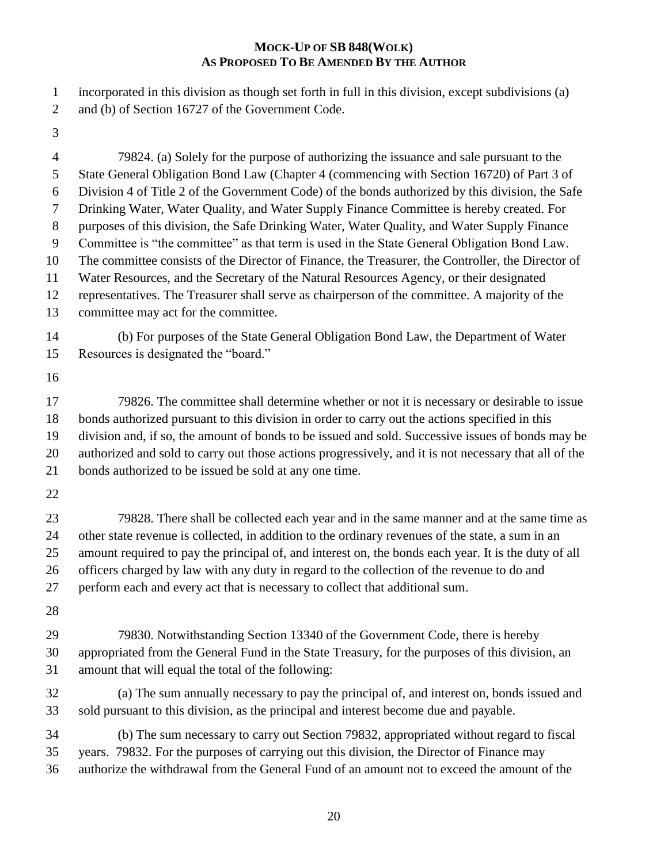incorporated in this division as though set forth in full in this division, except subdivisions (a)

- and (b) of Section 16727 of the Government Code.
- 

 79824. (a) Solely for the purpose of authorizing the issuance and sale pursuant to the State General Obligation Bond Law (Chapter 4 (commencing with Section 16720) of Part 3 of Division 4 of Title 2 of the Government Code) of the bonds authorized by this division, the Safe Drinking Water, Water Quality, and Water Supply Finance Committee is hereby created. For purposes of this division, the Safe Drinking Water, Water Quality, and Water Supply Finance Committee is "the committee" as that term is used in the State General Obligation Bond Law. The committee consists of the Director of Finance, the Treasurer, the Controller, the Director of Water Resources, and the Secretary of the Natural Resources Agency, or their designated representatives. The Treasurer shall serve as chairperson of the committee. A majority of the committee may act for the committee. (b) For purposes of the State General Obligation Bond Law, the Department of Water Resources is designated the "board." 17 79826. The committee shall determine whether or not it is necessary or desirable to issue bonds authorized pursuant to this division in order to carry out the actions specified in this division and, if so, the amount of bonds to be issued and sold. Successive issues of bonds may be authorized and sold to carry out those actions progressively, and it is not necessary that all of the bonds authorized to be issued be sold at any one time. 79828. There shall be collected each year and in the same manner and at the same time as 24 other state revenue is collected, in addition to the ordinary revenues of the state, a sum in an amount required to pay the principal of, and interest on, the bonds each year. It is the duty of all officers charged by law with any duty in regard to the collection of the revenue to do and perform each and every act that is necessary to collect that additional sum. 79830. Notwithstanding Section 13340 of the Government Code, there is hereby appropriated from the General Fund in the State Treasury, for the purposes of this division, an amount that will equal the total of the following: (a) The sum annually necessary to pay the principal of, and interest on, bonds issued and sold pursuant to this division, as the principal and interest become due and payable. (b) The sum necessary to carry out Section 79832, appropriated without regard to fiscal years. 79832. For the purposes of carrying out this division, the Director of Finance may authorize the withdrawal from the General Fund of an amount not to exceed the amount of the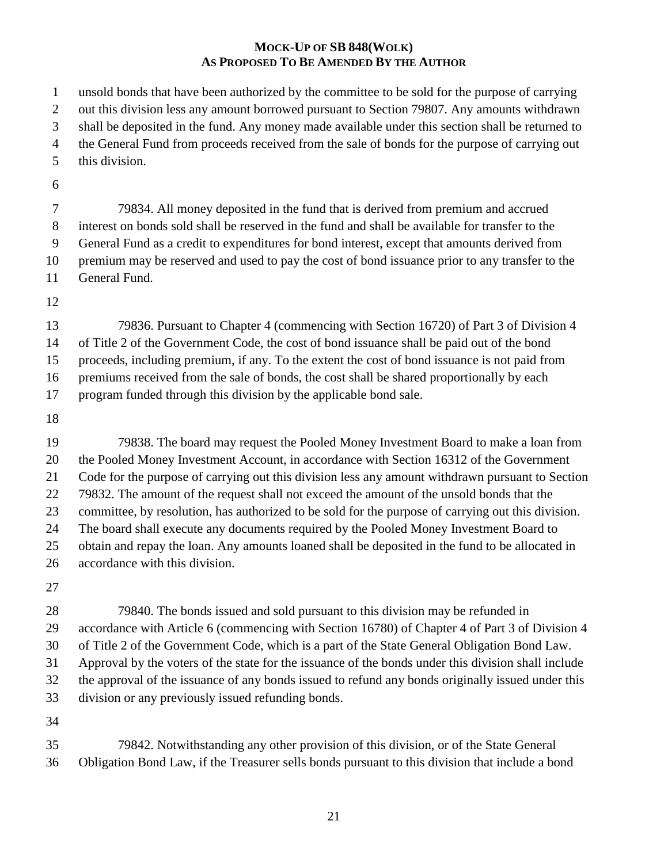unsold bonds that have been authorized by the committee to be sold for the purpose of carrying out this division less any amount borrowed pursuant to Section 79807. Any amounts withdrawn shall be deposited in the fund. Any money made available under this section shall be returned to the General Fund from proceeds received from the sale of bonds for the purpose of carrying out this division.

 79834. All money deposited in the fund that is derived from premium and accrued interest on bonds sold shall be reserved in the fund and shall be available for transfer to the General Fund as a credit to expenditures for bond interest, except that amounts derived from premium may be reserved and used to pay the cost of bond issuance prior to any transfer to the General Fund.

 79836. Pursuant to Chapter 4 (commencing with Section 16720) of Part 3 of Division 4 of Title 2 of the Government Code, the cost of bond issuance shall be paid out of the bond proceeds, including premium, if any. To the extent the cost of bond issuance is not paid from premiums received from the sale of bonds, the cost shall be shared proportionally by each program funded through this division by the applicable bond sale.

 79838. The board may request the Pooled Money Investment Board to make a loan from the Pooled Money Investment Account, in accordance with Section 16312 of the Government Code for the purpose of carrying out this division less any amount withdrawn pursuant to Section 79832. The amount of the request shall not exceed the amount of the unsold bonds that the committee, by resolution, has authorized to be sold for the purpose of carrying out this division. The board shall execute any documents required by the Pooled Money Investment Board to obtain and repay the loan. Any amounts loaned shall be deposited in the fund to be allocated in accordance with this division.

 79840. The bonds issued and sold pursuant to this division may be refunded in accordance with Article 6 (commencing with Section 16780) of Chapter 4 of Part 3 of Division 4 of Title 2 of the Government Code, which is a part of the State General Obligation Bond Law. Approval by the voters of the state for the issuance of the bonds under this division shall include the approval of the issuance of any bonds issued to refund any bonds originally issued under this division or any previously issued refunding bonds.

 79842. Notwithstanding any other provision of this division, or of the State General Obligation Bond Law, if the Treasurer sells bonds pursuant to this division that include a bond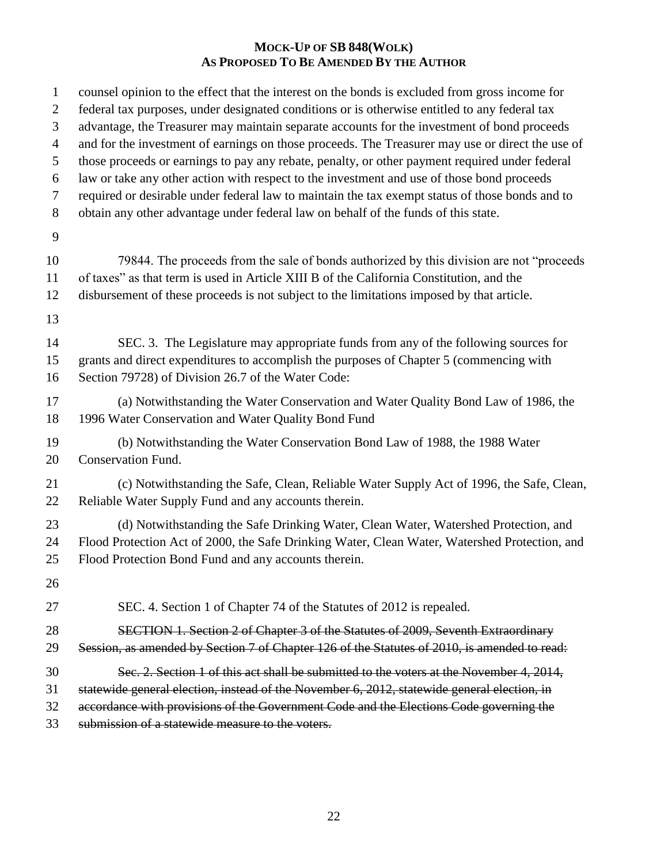| $\mathbf{1}$        | counsel opinion to the effect that the interest on the bonds is excluded from gross income for                                                                                               |
|---------------------|----------------------------------------------------------------------------------------------------------------------------------------------------------------------------------------------|
| $\overline{2}$<br>3 | federal tax purposes, under designated conditions or is otherwise entitled to any federal tax<br>advantage, the Treasurer may maintain separate accounts for the investment of bond proceeds |
| $\overline{4}$      | and for the investment of earnings on those proceeds. The Treasurer may use or direct the use of                                                                                             |
| 5                   | those proceeds or earnings to pay any rebate, penalty, or other payment required under federal                                                                                               |
| 6                   | law or take any other action with respect to the investment and use of those bond proceeds                                                                                                   |
| 7                   | required or desirable under federal law to maintain the tax exempt status of those bonds and to                                                                                              |
| $8\,$               | obtain any other advantage under federal law on behalf of the funds of this state.                                                                                                           |
| 9                   |                                                                                                                                                                                              |
| 10                  | 79844. The proceeds from the sale of bonds authorized by this division are not "proceeds"                                                                                                    |
| 11                  | of taxes" as that term is used in Article XIII B of the California Constitution, and the                                                                                                     |
| 12                  | disbursement of these proceeds is not subject to the limitations imposed by that article.                                                                                                    |
| 13                  |                                                                                                                                                                                              |
| 14                  | SEC. 3. The Legislature may appropriate funds from any of the following sources for                                                                                                          |
| 15                  | grants and direct expenditures to accomplish the purposes of Chapter 5 (commencing with                                                                                                      |
| 16                  | Section 79728) of Division 26.7 of the Water Code:                                                                                                                                           |
| 17                  | (a) Notwithstanding the Water Conservation and Water Quality Bond Law of 1986, the                                                                                                           |
| 18                  | 1996 Water Conservation and Water Quality Bond Fund                                                                                                                                          |
| 19                  | (b) Notwithstanding the Water Conservation Bond Law of 1988, the 1988 Water                                                                                                                  |
| 20                  | <b>Conservation Fund.</b>                                                                                                                                                                    |
| 21                  | (c) Notwithstanding the Safe, Clean, Reliable Water Supply Act of 1996, the Safe, Clean,                                                                                                     |
| 22                  | Reliable Water Supply Fund and any accounts therein.                                                                                                                                         |
| 23                  | (d) Notwithstanding the Safe Drinking Water, Clean Water, Watershed Protection, and                                                                                                          |
| 24                  | Flood Protection Act of 2000, the Safe Drinking Water, Clean Water, Watershed Protection, and                                                                                                |
| 25                  | Flood Protection Bond Fund and any accounts therein.                                                                                                                                         |
| 26                  |                                                                                                                                                                                              |
| 27                  | SEC. 4. Section 1 of Chapter 74 of the Statutes of 2012 is repealed.                                                                                                                         |
| 28                  | SECTION 1. Section 2 of Chapter 3 of the Statutes of 2009, Seventh Extraordinary                                                                                                             |
| 29                  | Session, as amended by Section 7 of Chapter 126 of the Statutes of 2010, is amended to read:                                                                                                 |
| 30                  | Sec. 2. Section 1 of this act shall be submitted to the voters at the November 4, 2014,                                                                                                      |
| 31                  | statewide general election, instead of the November 6, 2012, statewide general election, in                                                                                                  |
| 32                  | accordance with provisions of the Government Code and the Elections Code governing the                                                                                                       |
| 33                  | submission of a statewide measure to the voters.                                                                                                                                             |